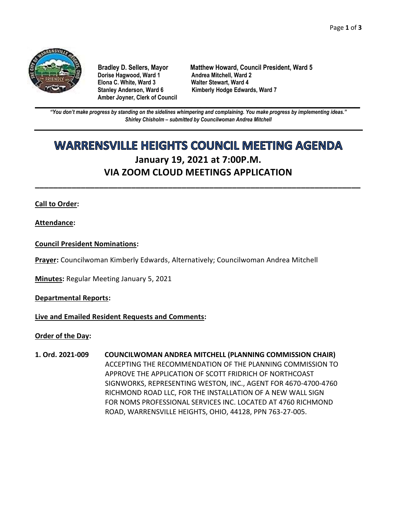

**Dorise Hagwood, Ward 1 Elona C. White, Ward 3 Walter Stewart, Ward 4 Amber Joyner, Clerk of Council**

**Bradley D. Sellers, Mayor Matthew Howard, Council President, Ward 5** Stanley Anderson, Ward 6 Kimberly Hodge Edwards, Ward 7

**\_\_\_\_\_\_\_\_\_\_\_\_\_\_\_\_\_\_\_\_\_\_\_\_\_\_\_\_\_\_\_\_\_\_\_\_\_\_\_\_\_\_\_\_\_\_\_\_\_\_\_\_\_\_\_\_\_\_\_\_\_\_\_\_\_\_\_\_\_\_\_\_\_\_\_\_\_\_\_\_\_\_\_\_\_\_\_\_\_\_\_\_\_\_\_\_\_\_\_\_\_\_\_\_\_\_\_\_\_\_** *"You don't make progress by standing on the sidelines whimpering and complaining. You make progress by implementing ideas." Shirley Chisholm – submitted by Councilwoman Andrea Mitchell*

# **WARRENSVILLE HEIGHTS COUNCIL MEETING AGENDA January 19, 2021 at 7:00P.M. VIA ZOOM CLOUD MEETINGS APPLICATION**

**\_\_\_\_\_\_\_\_\_\_\_\_\_\_\_\_\_\_\_\_\_\_\_\_\_\_\_\_\_\_\_\_\_\_\_\_\_\_\_\_\_\_\_\_\_\_\_\_\_\_\_\_\_\_\_\_\_\_\_\_\_\_\_\_\_\_\_\_\_\_\_**

## **Call to Order:**

**Attendance:**

**Council President Nominations:**

**Prayer:** Councilwoman Kimberly Edwards, Alternatively; Councilwoman Andrea Mitchell

**Minutes:** Regular Meeting January 5, 2021

### **Departmental Reports:**

### **Live and Emailed Resident Requests and Comments:**

### **Order of the Day:**

**1. Ord. 2021-009 COUNCILWOMAN ANDREA MITCHELL (PLANNING COMMISSION CHAIR)** ACCEPTING THE RECOMMENDATION OF THE PLANNING COMMISSION TO APPROVE THE APPLICATION OF SCOTT FRIDRICH OF NORTHCOAST SIGNWORKS, REPRESENTING WESTON, INC., AGENT FOR 4670-4700-4760 RICHMOND ROAD LLC, FOR THE INSTALLATION OF A NEW WALL SIGN FOR NOMS PROFESSIONAL SERVICES INC. LOCATED AT 4760 RICHMOND ROAD, WARRENSVILLE HEIGHTS, OHIO, 44128, PPN 763-27-005.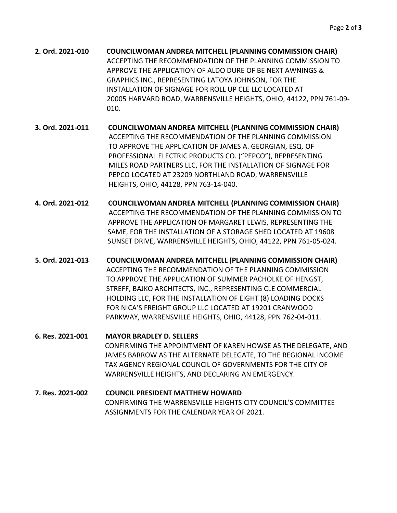- **2. Ord. 2021-010 COUNCILWOMAN ANDREA MITCHELL (PLANNING COMMISSION CHAIR)** ACCEPTING THE RECOMMENDATION OF THE PLANNING COMMISSION TO APPROVE THE APPLICATION OF ALDO DURE OF BE NEXT AWNINGS & GRAPHICS INC., REPRESENTING LATOYA JOHNSON, FOR THE INSTALLATION OF SIGNAGE FOR ROLL UP CLE LLC LOCATED AT 20005 HARVARD ROAD, WARRENSVILLE HEIGHTS, OHIO, 44122, PPN 761-09- 010.
- **3. Ord. 2021-011 COUNCILWOMAN ANDREA MITCHELL (PLANNING COMMISSION CHAIR)** ACCEPTING THE RECOMMENDATION OF THE PLANNING COMMISSION TO APPROVE THE APPLICATION OF JAMES A. GEORGIAN, ESQ. OF PROFESSIONAL ELECTRIC PRODUCTS CO. ("PEPCO"), REPRESENTING MILES ROAD PARTNERS LLC, FOR THE INSTALLATION OF SIGNAGE FOR PEPCO LOCATED AT 23209 NORTHLAND ROAD, WARRENSVILLE HEIGHTS, OHIO, 44128, PPN 763-14-040.
- **4. Ord. 2021-012 COUNCILWOMAN ANDREA MITCHELL (PLANNING COMMISSION CHAIR)** ACCEPTING THE RECOMMENDATION OF THE PLANNING COMMISSION TO APPROVE THE APPLICATION OF MARGARET LEWIS, REPRESENTING THE SAME, FOR THE INSTALLATION OF A STORAGE SHED LOCATED AT 19608 SUNSET DRIVE, WARRENSVILLE HEIGHTS, OHIO, 44122, PPN 761-05-024.
- **5. Ord. 2021-013 COUNCILWOMAN ANDREA MITCHELL (PLANNING COMMISSION CHAIR)** ACCEPTING THE RECOMMENDATION OF THE PLANNING COMMISSION TO APPROVE THE APPLICATION OF SUMMER PACHOLKE OF HENGST, STREFF, BAJKO ARCHITECTS, INC., REPRESENTING CLE COMMERCIAL HOLDING LLC, FOR THE INSTALLATION OF EIGHT (8) LOADING DOCKS FOR NICA'S FREIGHT GROUP LLC LOCATED AT 19201 CRANWOOD PARKWAY, WARRENSVILLE HEIGHTS, OHIO, 44128, PPN 762-04-011.

**6. Res. 2021-001 MAYOR BRADLEY D. SELLERS** CONFIRMING THE APPOINTMENT OF KAREN HOWSE AS THE DELEGATE, AND JAMES BARROW AS THE ALTERNATE DELEGATE, TO THE REGIONAL INCOME TAX AGENCY REGIONAL COUNCIL OF GOVERNMENTS FOR THE CITY OF WARRENSVILLE HEIGHTS, AND DECLARING AN EMERGENCY.

**7. Res. 2021-002 COUNCIL PRESIDENT MATTHEW HOWARD** CONFIRMING THE WARRENSVILLE HEIGHTS CITY COUNCIL'S COMMITTEE ASSIGNMENTS FOR THE CALENDAR YEAR OF 2021.